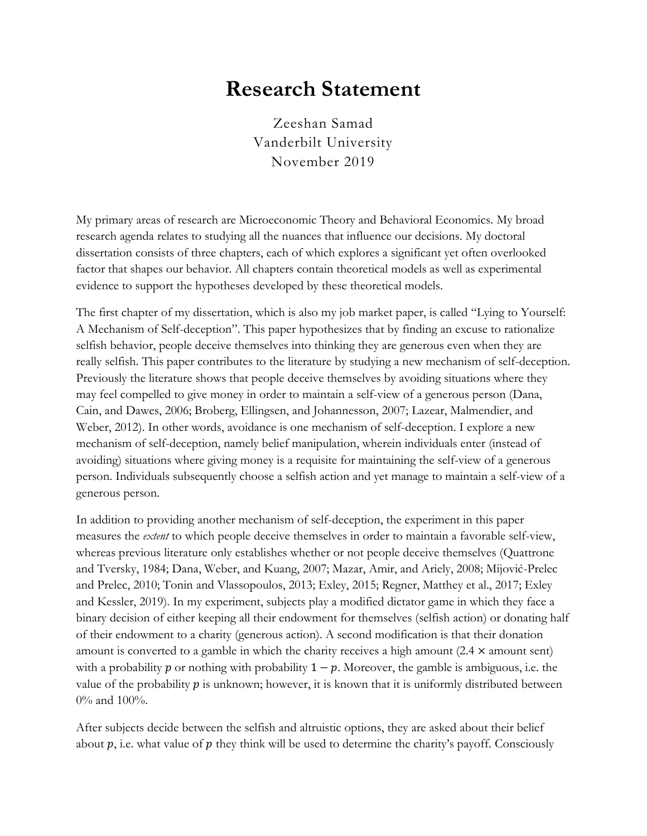## **Research Statement**

Zeeshan Samad Vanderbilt University November 2019

My primary areas of research are Microeconomic Theory and Behavioral Economics. My broad research agenda relates to studying all the nuances that influence our decisions. My doctoral dissertation consists of three chapters, each of which explores a significant yet often overlooked factor that shapes our behavior. All chapters contain theoretical models as well as experimental evidence to support the hypotheses developed by these theoretical models.

The first chapter of my dissertation, which is also my job market paper, is called "Lying to Yourself: A Mechanism of Self-deception". This paper hypothesizes that by finding an excuse to rationalize selfish behavior, people deceive themselves into thinking they are generous even when they are really selfish. This paper contributes to the literature by studying a new mechanism of self-deception. Previously the literature shows that people deceive themselves by avoiding situations where they may feel compelled to give money in order to maintain a self-view of a generous person (Dana, Cain, and Dawes, 2006; Broberg, Ellingsen, and Johannesson, 2007; Lazear, Malmendier, and Weber, 2012). In other words, avoidance is one mechanism of self-deception. I explore a new mechanism of self-deception, namely belief manipulation, wherein individuals enter (instead of avoiding) situations where giving money is a requisite for maintaining the self-view of a generous person. Individuals subsequently choose a selfish action and yet manage to maintain a self-view of a generous person.

In addition to providing another mechanism of self-deception, the experiment in this paper measures the *extent* to which people deceive themselves in order to maintain a favorable self-view, whereas previous literature only establishes whether or not people deceive themselves (Quattrone and Tversky, 1984; Dana, Weber, and Kuang, 2007; Mazar, Amir, and Ariely, 2008; Mijović-Prelec and Prelec, 2010; Tonin and Vlassopoulos, 2013; Exley, 2015; Regner, Matthey et al., 2017; Exley and Kessler, 2019). In my experiment, subjects play a modified dictator game in which they face a binary decision of either keeping all their endowment for themselves (selfish action) or donating half of their endowment to a charity (generous action). A second modification is that their donation amount is converted to a gamble in which the charity receives a high amount  $(2.4 \times$  amount sent) with a probability  $p$  or nothing with probability  $1 - p$ . Moreover, the gamble is ambiguous, i.e. the value of the probability  $p$  is unknown; however, it is known that it is uniformly distributed between 0% and 100%.

After subjects decide between the selfish and altruistic options, they are asked about their belief about  $p$ , i.e. what value of  $p$  they think will be used to determine the charity's payoff. Consciously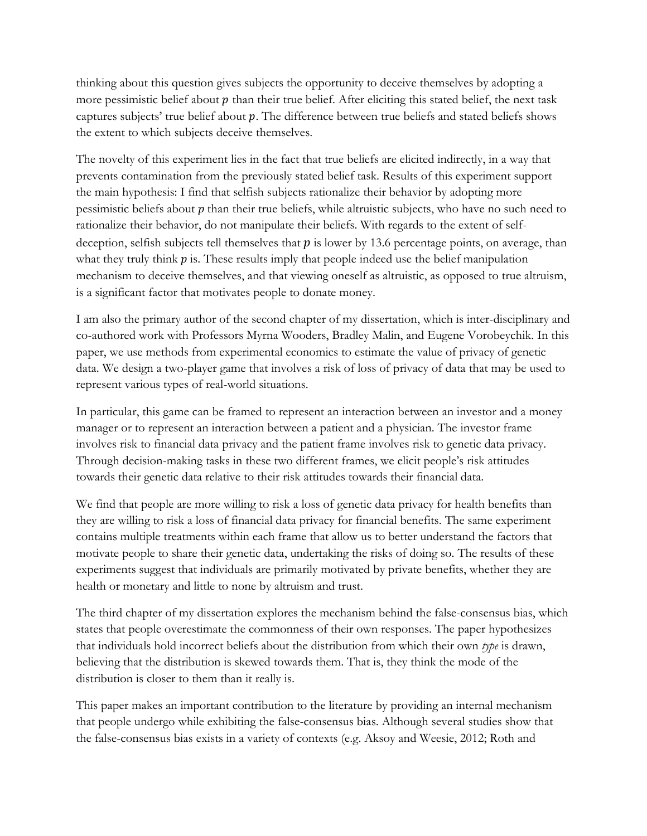thinking about this question gives subjects the opportunity to deceive themselves by adopting a more pessimistic belief about  $p$  than their true belief. After eliciting this stated belief, the next task captures subjects' true belief about  $p$ . The difference between true beliefs and stated beliefs shows the extent to which subjects deceive themselves.

The novelty of this experiment lies in the fact that true beliefs are elicited indirectly, in a way that prevents contamination from the previously stated belief task. Results of this experiment support the main hypothesis: I find that selfish subjects rationalize their behavior by adopting more pessimistic beliefs about  $p$  than their true beliefs, while altruistic subjects, who have no such need to rationalize their behavior, do not manipulate their beliefs. With regards to the extent of selfdeception, selfish subjects tell themselves that  $\hat{p}$  is lower by 13.6 percentage points, on average, than what they truly think  $\hat{p}$  is. These results imply that people indeed use the belief manipulation mechanism to deceive themselves, and that viewing oneself as altruistic, as opposed to true altruism, is a significant factor that motivates people to donate money.

I am also the primary author of the second chapter of my dissertation, which is inter-disciplinary and co-authored work with Professors Myrna Wooders, Bradley Malin, and Eugene Vorobeychik. In this paper, we use methods from experimental economics to estimate the value of privacy of genetic data. We design a two-player game that involves a risk of loss of privacy of data that may be used to represent various types of real-world situations.

In particular, this game can be framed to represent an interaction between an investor and a money manager or to represent an interaction between a patient and a physician. The investor frame involves risk to financial data privacy and the patient frame involves risk to genetic data privacy. Through decision-making tasks in these two different frames, we elicit people's risk attitudes towards their genetic data relative to their risk attitudes towards their financial data.

We find that people are more willing to risk a loss of genetic data privacy for health benefits than they are willing to risk a loss of financial data privacy for financial benefits. The same experiment contains multiple treatments within each frame that allow us to better understand the factors that motivate people to share their genetic data, undertaking the risks of doing so. The results of these experiments suggest that individuals are primarily motivated by private benefits, whether they are health or monetary and little to none by altruism and trust.

The third chapter of my dissertation explores the mechanism behind the false-consensus bias, which states that people overestimate the commonness of their own responses. The paper hypothesizes that individuals hold incorrect beliefs about the distribution from which their own *type* is drawn, believing that the distribution is skewed towards them. That is, they think the mode of the distribution is closer to them than it really is.

This paper makes an important contribution to the literature by providing an internal mechanism that people undergo while exhibiting the false-consensus bias. Although several studies show that the false-consensus bias exists in a variety of contexts (e.g. Aksoy and Weesie, 2012; Roth and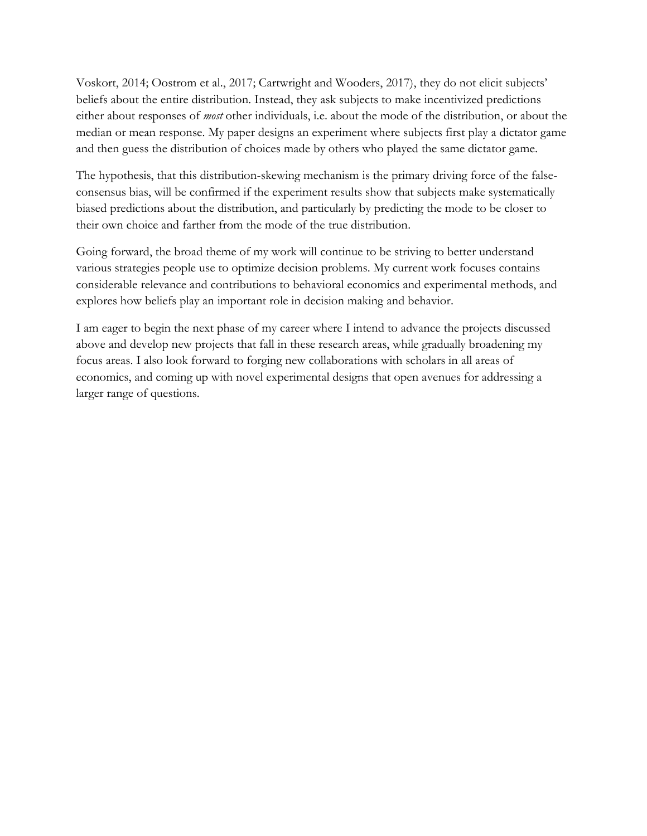Voskort, 2014; Oostrom et al., 2017; Cartwright and Wooders, 2017), they do not elicit subjects' beliefs about the entire distribution. Instead, they ask subjects to make incentivized predictions either about responses of *most* other individuals, i.e. about the mode of the distribution, or about the median or mean response. My paper designs an experiment where subjects first play a dictator game and then guess the distribution of choices made by others who played the same dictator game.

The hypothesis, that this distribution-skewing mechanism is the primary driving force of the falseconsensus bias, will be confirmed if the experiment results show that subjects make systematically biased predictions about the distribution, and particularly by predicting the mode to be closer to their own choice and farther from the mode of the true distribution.

Going forward, the broad theme of my work will continue to be striving to better understand various strategies people use to optimize decision problems. My current work focuses contains considerable relevance and contributions to behavioral economics and experimental methods, and explores how beliefs play an important role in decision making and behavior.

I am eager to begin the next phase of my career where I intend to advance the projects discussed above and develop new projects that fall in these research areas, while gradually broadening my focus areas. I also look forward to forging new collaborations with scholars in all areas of economics, and coming up with novel experimental designs that open avenues for addressing a larger range of questions.